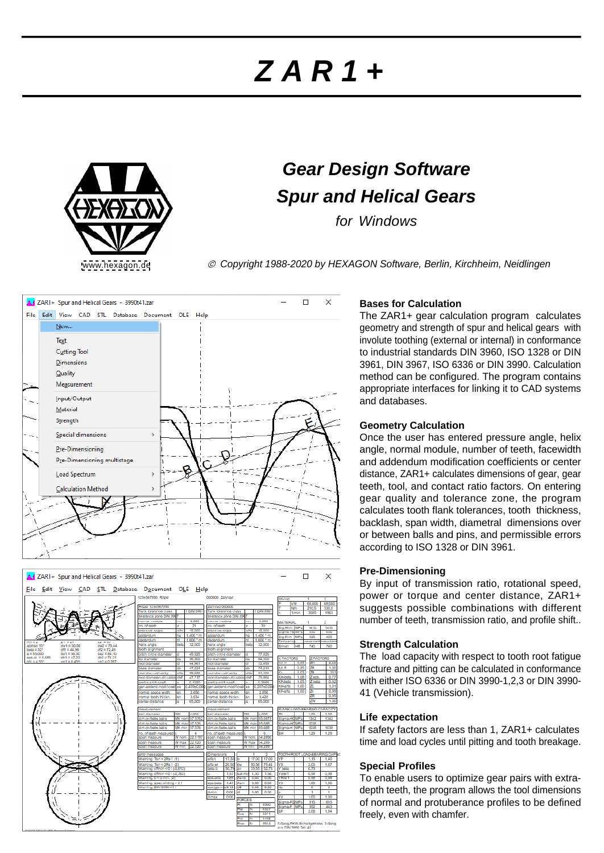# **Z A R 1 +**



# **Gear Design Software Spur and Helical Gears**

for Windows

[www.hexagon.de](http://www.hexagon.de) <br>
© Copyright 1988-2020 by HEXAGON Software, Berlin, Kirchheim, Neidlingen





# **Bases for Calculation**

The ZAR1+ gear calculation program calculates geometry and strength of spur and helical gears with involute toothing (external or internal) in conformance to industrial standards DIN 3960, ISO 1328 or DIN 3961, DIN 3967, ISO 6336 or DIN 3990. Calculation method can be configured. The program contains appropriate interfaces for linking it to CAD systems and databases.

## **Geometry Calculation**

Once the user has entered pressure angle, helix angle, normal module, number of teeth, facewidth and addendum modification coefficients or center distance, ZAR1+ calculates dimensions of gear, gear teeth, tool, and contact ratio factors. On entering gear quality and tolerance zone, the program calculates tooth flank tolerances, tooth thickness, backlash, span width, diametral dimensions over or between balls and pins, and permissible errors according to ISO 1328 or DIN 3961.

#### **Pre-Dimensioning**

By input of transmission ratio, rotational speed, power or torque and center distance, ZAR1+ suggests possible combinations with different number of teeth, transmission ratio, and profile shift..

# **Strength Calculation**

The load capacity with respect to tooth root fatigue fracture and pitting can be calculated in conformance with either ISO 6336 or DIN 3990-1,2,3 or DIN 3990- 41 (Vehicle transmission).

# **Life expectation**

If safety factors are less than 1, ZAR1+ calculates time and load cycles until pitting and tooth breakage.

# **Special Profiles**

To enable users to optimize gear pairs with extradepth teeth, the program allows the tool dimensions of normal and protuberance profiles to be defined freely, even with chamfer.